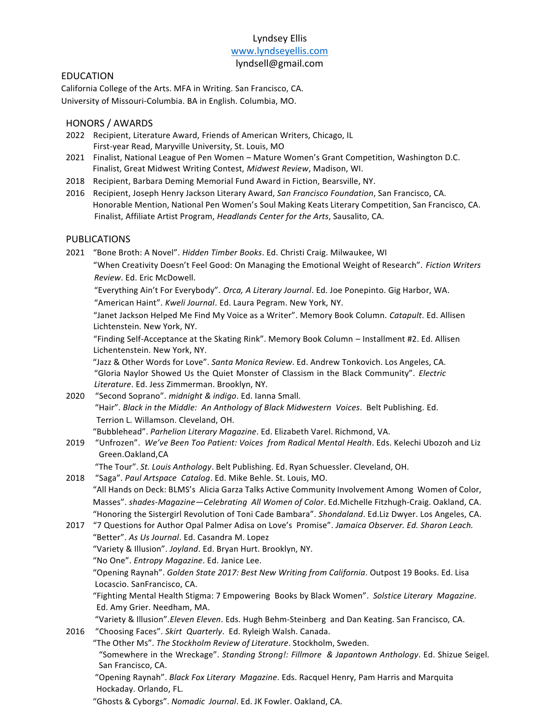# Lyndsey Ellis [www.lyndseyellis.com](http://www.lyndseyellis.com/)

#### lyndsell@gmail.com

### EDUCATION

California College of the Arts. MFA in Writing. San Francisco, CA. University of Missouri-Columbia. BA in English. Columbia, MO.

### HONORS / AWARDS

- 2022 Recipient, Literature Award, Friends of American Writers, Chicago, IL First-year Read, Maryville University, St. Louis, MO
- 2021 Finalist, National League of Pen Women Mature Women's Grant Competition, Washington D.C. Finalist, Great Midwest Writing Contest, *Midwest Review*, Madison, WI.
- 2018 Recipient, Barbara Deming Memorial Fund Award in Fiction, Bearsville, NY.
- 2016 Recipient, Joseph Henry Jackson Literary Award, *San Francisco Foundation*, San Francisco, CA. Honorable Mention, National Pen Women's Soul Making Keats Literary Competition, San Francisco, CA. Finalist, Affiliate Artist Program, *Headlands Center for the Arts*, Sausalito, CA.

### PUBLICATIONS

2021 "Bone Broth: A Novel". *Hidden Timber Books*. Ed. Christi Craig. Milwaukee, WI "When Creativity Doesn't Feel Good: On Managing the Emotional Weight of Research". *Fiction Writers Review*. Ed. Eric McDowell.

"Everything Ain't For Everybody". *Orca, A Literary Journal*. Ed. Joe Ponepinto. Gig Harbor, WA. "American Haint". *Kweli Journal*. Ed. Laura Pegram. New York, NY.

"Janet Jackson Helped Me Find My Voice as a Writer". Memory Book Column. *Catapult*. Ed. Allisen Lichtenstein. New York, NY.

"Finding Self-Acceptance at the Skating Rink". Memory Book Column – Installment #2. Ed. Allisen Lichentenstein. New York, NY.

 "Jazz & Other Words for Love". *Santa Monica Review*. Ed. Andrew Tonkovich. Los Angeles, CA. "Gloria Naylor Showed Us the Quiet Monster of Classism in the Black Community". *Electric Literature*. Ed. Jess Zimmerman. Brooklyn, NY.

2020 "Second Soprano". *midnight & indigo*. Ed. Ianna Small. "Hair". *Black in the Middle: An Anthology of Black Midwestern Voices*. Belt Publishing. Ed. Terrion L. Willamson. Cleveland, OH.

"Bubblehead". *Parhelion Literary Magazine*. Ed. Elizabeth Varel. Richmond, VA.

2019 "Unfrozen". *We've Been Too Patient: Voices from Radical Mental Health*. Eds. Kelechi Ubozoh and Liz Green.Oakland,CA

"The Tour". *St. Louis Anthology*. Belt Publishing. Ed. Ryan Schuessler. Cleveland, OH.

2018 "Saga". *Paul Artspace Catalog*. Ed. Mike Behle. St. Louis, MO. "All Hands on Deck: BLMS's Alicia Garza Talks Active Community Involvement Among Women of Color, Masses". *shades-Magazine—Celebrating All Women of Color*. Ed.Michelle Fitzhugh-Craig. Oakland, CA. "Honoring the Sistergirl Revolution of Toni Cade Bambara". *Shondaland*. Ed.Liz Dwyer. Los Angeles, CA.

2017 "7 Questions for Author Opal Palmer Adisa on Love's Promise". *Jamaica Observer. Ed. Sharon Leach.* "Better". *As Us Journal*. Ed. Casandra M. Lopez "Variety & Illusion". *Joyland*. Ed. Bryan Hurt. Brooklyn, NY.

"No One". *Entropy Magazine*. Ed. Janice Lee.

 "Opening Raynah". *Golden State 2017: Best New Writing from California*. Outpost 19 Books. Ed. Lisa Locascio. SanFrancisco, CA.

 "Fighting Mental Health Stigma: 7 Empowering Books by Black Women". *Solstice Literary Magazine*. Ed. Amy Grier. Needham, MA.

"Variety & Illusion".*Eleven Eleven*. Eds. Hugh Behm-Steinberg and Dan Keating. San Francisco, CA.

2016 "Choosing Faces". *Skirt Quarterly*. Ed. Ryleigh Walsh. Canada.

 "The Other Ms". *The Stockholm Review of Literature*. Stockholm, Sweden. "Somewhere in the Wreckage". *Standing Strong!: Fillmore & Japantown Anthology*. Ed. Shizue Seigel. San Francisco, CA.

 "Opening Raynah". *Black Fox Literary Magazine*. Eds. Racquel Henry, Pam Harris and Marquita Hockaday. Orlando, FL.

"Ghosts & Cyborgs". *Nomadic Journal*. Ed. JK Fowler. Oakland, CA.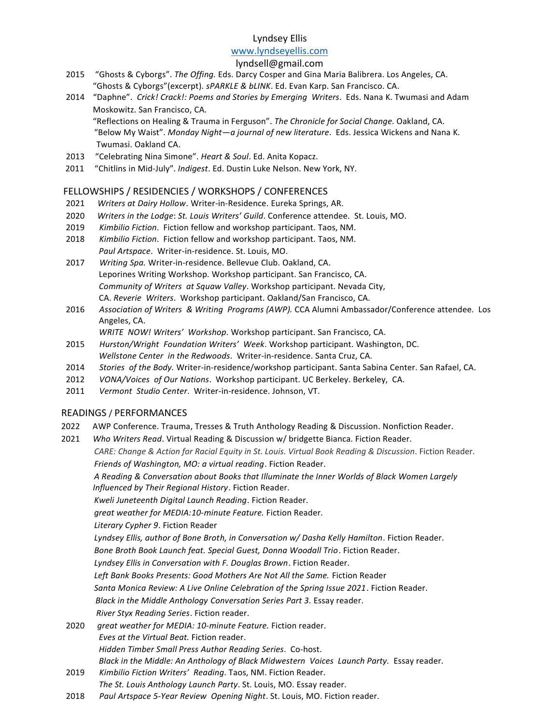### Lyndsey Ellis

### [www.lyndseyellis.com](http://www.lyndseyellis.com/)

### lyndsell@gmail.com

- 2015 "Ghosts & Cyborgs". *The Offing.* Eds. Darcy Cosper and Gina Maria Balibrera. Los Angeles, CA. "Ghosts & Cyborgs"(excerpt). *sPARKLE & bLINK*. Ed. Evan Karp. San Francisco. CA.
- 2014 "Daphne". *Crick! Crack!: Poems and Stories by Emerging Writers*. Eds. Nana K. Twumasi and Adam Moskowitz. San Francisco, CA. "Reflections on Healing & Trauma in Ferguson". *The Chronicle for Social Change.* Oakland, CA.

"Below My Waist". *Monday Night—a journal of new literature*. Eds. Jessica Wickens and Nana K. Twumasi. Oakland CA.

- 2013 "Celebrating Nina Simone". *Heart & Soul*. Ed. Anita Kopacz.
- 2011 "Chitlins in Mid-July". *Indigest*. Ed. Dustin Luke Nelson. New York, NY.

### FELLOWSHIPS / RESIDENCIES / WORKSHOPS / CONFERENCES

- 2021 *Writers at Dairy Hollow*. Writer-in-Residence. Eureka Springs, AR.
- 2020 *Writers in the Lodge*: *St. Louis Writers' Guild*. Conference attendee. St. Louis, MO.
- 2019 *Kimbilio Fiction*. Fiction fellow and workshop participant. Taos, NM.
- 2018 *Kimbilio Fiction*. Fiction fellow and workshop participant. Taos, NM. *Paul Artspace*. Writer-in-residence. St. Louis, MO.
- 2017 *Writing Spa.* Writer-in-residence. Bellevue Club. Oakland, CA. Leporines Writing Workshop. Workshop participant. San Francisco, CA. *Community of Writers at Squaw Valley*. Workshop participant. Nevada City, CA. *Reverie Writers*. Workshop participant. Oakland/San Francisco, CA.
- 2016 *Association of Writers & Writing Programs (AWP).* CCA Alumni Ambassador/Conference attendee. Los Angeles, CA.

*WRITE NOW! Writers' Workshop*. Workshop participant. San Francisco, CA.

- 2015 *Hurston/Wright Foundation Writers' Week*. Workshop participant. Washington, DC. *Wellstone Center in the Redwoods*. Writer-in-residence. Santa Cruz, CA.
- 2014 *Stories of the Body.* Writer-in-residence/workshop participant. Santa Sabina Center. San Rafael, CA.
- 2012 *VONA/Voices of Our Nations*. Workshop participant. UC Berkeley. Berkeley, CA.
- 2011 *Vermont Studio Center*. Writer-in-residence. Johnson, VT.

### READINGS / PERFORMANCES

- 2022 AWP Conference. Trauma, Tresses & Truth Anthology Reading & Discussion. Nonfiction Reader.
- 2021 *Who Writers Read*. Virtual Reading & Discussion w/ bridgette Bianca. Fiction Reader.

*[CARE: Change & Action for Racial Equity in St. Louis.](https://www.facebook.com/care.1stl/photos/a.109295814499191/216021413826630/?type=3&theater) Virtual Book Reading & Discussion*. Fiction Reader. *Friends of Washington, MO: a virtual reading*. Fiction Reader.

*A Reading & Conversation about Books that Illuminate the Inner Worlds of Black Women Largely Influenced by Their Regional History*. Fiction Reader.

*Kweli Juneteenth Digital Launch Reading*. Fiction Reader.

*great weather for MEDIA:10-minute Feature.* Fiction Reader.

*Literary Cypher 9*. Fiction Reader

*Lyndsey Ellis, author of Bone Broth, in Conversation w/ Dasha Kelly Hamilton*. Fiction Reader.

*Bone Broth Book Launch feat. Special Guest, Donna Woodall Trio*. Fiction Reader.

*Lyndsey Ellis in Conversation with F. Douglas Brown*. Fiction Reader.

Left Bank Books Presents: Good Mothers Are Not All the Same. Fiction Reader

*Santa Monica Review: A Live Online Celebration of the Spring Issue 2021*. Fiction Reader.

*Black in the Middle Anthology Conversation Series Part 3.* Essay reader.

*River Styx Reading Series*. Fiction reader.

- 2020 *great weather for MEDIA: 10-minute Feature.* Fiction reader. *Eves at the Virtual Beat.* Fiction reader. *Hidden Timber Small Press Author Reading Series*. Co-host. *Black in the Middle: An Anthology of Black Midwestern Voices Launch Party.* Essay reader.
- 2019 *Kimbilio Fiction Writers' Reading*. Taos, NM. Fiction Reader. *The St. Louis Anthology Launch Party*. St. Louis, MO. Essay reader.
- 2018 *Paul Artspace 5-Year Review Opening Night*. St. Louis, MO. Fiction reader.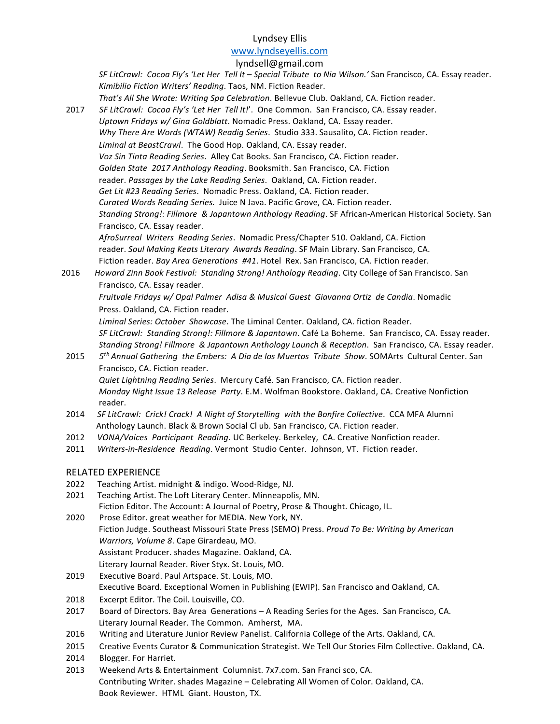### Lyndsey Ellis

#### [www.lyndseyellis.com](http://www.lyndseyellis.com/)

#### lyndsell@gmail.com

*SF LitCrawl: Cocoa Fly's 'Let Her Tell It – Special Tribute to Nia Wilson.'* San Francisco, CA. Essay reader. *Kimibilio Fiction Writers' Reading*. Taos, NM. Fiction Reader. *That's All She Wrote: Writing Spa Celebration*. Bellevue Club. Oakland, CA. Fiction reader. 2017 *SF LitCrawl: Cocoa Fly's 'Let Her Tell It!*'. One Common. San Francisco, CA. Essay reader. *Uptown Fridays w/ Gina Goldblatt*. Nomadic Press. Oakland, CA. Essay reader. *Why There Are Words (WTAW) Readig Series*. Studio 333. Sausalito, CA. Fiction reader. *Liminal at BeastCrawl*. The Good Hop. Oakland, CA. Essay reader. *Voz Sin Tinta Reading Series*. Alley Cat Books. San Francisco, CA. Fiction reader. *Golden State 2017 Anthology Reading*. Booksmith. San Francisco, CA. Fiction reader. *Passages by the Lake Reading Series*. Oakland, CA. Fiction reader. *Get Lit #23 Reading Series*. Nomadic Press. Oakland, CA. Fiction reader. *Curated Words Reading Series.* Juice N Java. Pacific Grove, CA. Fiction reader. *Standing Strong!: Fillmore & Japantown Anthology Reading*. SF African-American Historical Society. San Francisco, CA. Essay reader. *AfroSurreal Writers Reading Series*. Nomadic Press/Chapter 510. Oakland, CA. Fiction reader. *Soul Making Keats Literary Awards Reading*. SF Main Library. San Francisco, CA. Fiction reader. *Bay Area Generations #41*. Hotel Rex. San Francisco, CA. Fiction reader. 2016 *Howard Zinn Book Festival: Standing Strong! Anthology Reading*. City College of San Francisco. San Francisco, CA. Essay reader. *Fruitvale Fridays w/ Opal Palmer Adisa & Musical Guest Giavanna Ortiz de Candia*. Nomadic Press. Oakland, CA. Fiction reader. *Liminal Series: October Showcase*. The Liminal Center. Oakland, CA. fiction Reader. *SF LitCrawl: Standing Strong!: Fillmore & Japantown*. Café La Boheme. San Francisco, CA. Essay reader. *Standing Strong! Fillmore & Japantown Anthology Launch & Reception*. San Francisco, CA. Essay reader. 2015 *5 th Annual Gathering the Embers: A Dia de los Muertos Tribute Show*. SOMArts Cultural Center. San Francisco, CA. Fiction reader. *Quiet Lightning Reading Series*. Mercury Café. San Francisco, CA. Fiction reader. *Monday Night Issue 13 Release Party*. E.M. Wolfman Bookstore. Oakland, CA. Creative Nonfiction reader. 2014 *SF LitCrawl: Crick! Crack! A Night of Storytelling with the Bonfire Collective*. CCA MFA Alumni Anthology Launch. Black & Brown Social Cl ub. San Francisco, CA. Fiction reader. 2012 *VONA/Voices Participant Reading*. UC Berkeley. Berkeley, CA. Creative Nonfiction reader. 2011 *Writers-in-Residence Reading*. Vermont Studio Center. Johnson, VT. Fiction reader. RELATED EXPERIENCE 2022 Teaching Artist. midnight & indigo. Wood-Ridge, NJ. 2021 Teaching Artist. The Loft Literary Center. Minneapolis, MN. Fiction Editor. The Account: A Journal of Poetry, Prose & Thought. Chicago, IL. 2020 Prose Editor. great weather for MEDIA. New York, NY. Fiction Judge. Southeast Missouri State Press (SEMO) Press. *Proud To Be: Writing by American Warriors, Volume 8*. Cape Girardeau, MO. Assistant Producer. shades Magazine. Oakland, CA. Literary Journal Reader. River Styx. St. Louis, MO. 2019 Executive Board. Paul Artspace. St. Louis, MO. Executive Board. Exceptional Women in Publishing (EWIP). San Francisco and Oakland, CA. 2018 Excerpt Editor. The Coil. Louisville, CO. 2017 Board of Directors. Bay Area Generations – A Reading Series for the Ages. San Francisco, CA. Literary Journal Reader. The Common. Amherst, MA.

- 2016 Writing and Literature Junior Review Panelist. California College of the Arts. Oakland, CA.
- 2015 Creative Events Curator & Communication Strategist. We Tell Our Stories Film Collective. Oakland, CA.
- 2014 Blogger. For Harriet.
- 2013 Weekend Arts & Entertainment Columnist. 7x7.com. San Franci sco, CA. Contributing Writer. shades Magazine – Celebrating All Women of Color. Oakland, CA. Book Reviewer. HTML Giant. Houston, TX.